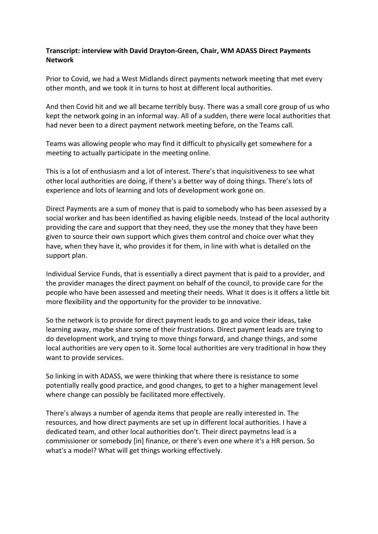## **Transcript: interview with David Drayton-Green, Chair, WM ADASS Direct Payments Network**

Prior to Covid, we had a West Midlands direct payments network meeting that met every other month, and we took it in turns to host at different local authorities.

And then Covid hit and we all became terribly busy. There was a small core group of us who kept the network going in an informal way. All of a sudden, there were local authorities that had never been to a direct payment network meeting before, on the Teams call.

Teams was allowing people who may find it difficult to physically get somewhere for a meeting to actually participate in the meeting online.

This is a lot of enthusiasm and a lot of interest. There's that inquisitiveness to see what other local authorities are doing, if there's a better way of doing things. There's lots of experience and lots of learning and lots of development work gone on.

Direct Payments are a sum of money that is paid to somebody who has been assessed by a social worker and has been identified as having eligible needs. Instead of the local authority providing the care and support that they need, they use the money that they have been given to source their own support which gives them control and choice over what they have, when they have it, who provides it for them, in line with what is detailed on the support plan.

Individual Service Funds, that is essentially a direct payment that is paid to a provider, and the provider manages the direct payment on behalf of the council, to provide care for the people who have been assessed and meeting their needs. What it does is it offers a little bit more flexibility and the opportunity for the provider to be innovative.

So the network is to provide for direct payment leads to go and voice their ideas, take learning away, maybe share some of their frustrations. Direct payment leads are trying to do development work, and trying to move things forward, and change things, and some local authorities are very open to it. Some local authorities are very traditional in how they want to provide services.

So linking in with ADASS, we were thinking that where there is resistance to some potentially really good practice, and good changes, to get to a higher management level where change can possibly be facilitated more effectively.

There's always a number of agenda items that people are really interested in. The resources, and how direct payments are set up in different local authorities. I have a dedicated team, and other local authorities don't. Their direct paymetns lead is a commissioner or somebody [in] finance, or there's even one where it's a HR person. So what's a model? What will get things working effectively.